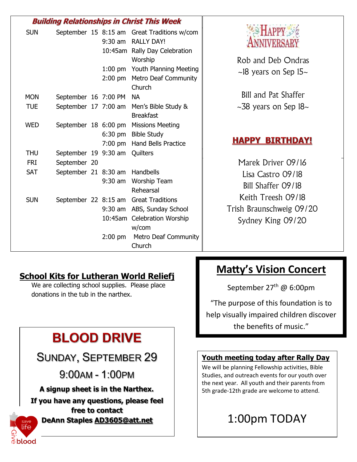|            | <b>Building Relationships in Christ This Week</b> |           |                                                                                                                                                      |                                                                                                                |
|------------|---------------------------------------------------|-----------|------------------------------------------------------------------------------------------------------------------------------------------------------|----------------------------------------------------------------------------------------------------------------|
| <b>SUN</b> |                                                   |           | September 15 8:15 am Great Traditions w/com<br>9:30 am RALLY DAY!<br>10:45am Rally Day Celebration                                                   | <b>NIVERSA</b>                                                                                                 |
|            |                                                   |           | Worship                                                                                                                                              | Rob and Deb Ondras                                                                                             |
|            |                                                   |           | 1:00 pm Youth Planning Meeting<br>2:00 pm Metro Deaf Community<br>Church                                                                             | $\sim$ 18 years on Sep 15 $\sim$                                                                               |
| <b>MON</b> | September 16 7:00 PM                              |           | <b>NA</b>                                                                                                                                            | Bill and Pat Shaffer                                                                                           |
| <b>TUE</b> |                                                   |           | September 17 7:00 am Men's Bible Study &<br><b>Breakfast</b>                                                                                         | $\sim$ 38 years on Sep 18 $\sim$                                                                               |
| <b>WED</b> |                                                   |           | September 18 6:00 pm Missions Meeting<br>6:30 pm Bible Study<br>7:00 pm Hand Bells Practice                                                          | <b>HAPPY BIRTHDAY!</b>                                                                                         |
| <b>THU</b> | September 19 9:30 am                              |           | Quilters                                                                                                                                             |                                                                                                                |
| <b>FRI</b> | September 20                                      |           |                                                                                                                                                      | Marek Driver 09/16                                                                                             |
| <b>SAT</b> | September 21 8:30 am Handbells                    | $9:30$ am | <b>Worship Team</b><br>Rehearsal                                                                                                                     | Lisa Castro 09/18<br>Bill Shaffer 09/18<br>Keith Treesh 09/18<br>Trish Braunschweig 09/20<br>Sydney King 09/20 |
| <b>SUN</b> |                                                   | $2:00$ pm | September 22 8:15 am Great Traditions<br>9:30 am ABS, Sunday School<br>10:45am Celebration Worship<br>w/com<br><b>Metro Deaf Community</b><br>Church |                                                                                                                |

### **School Kits for Lutheran World Reliefj**

We are collecting school supplies. Please place donations in the tub in the narthex.

# **BLOOD DRIVE**

### SUNDAY, SEPTEMBER 29

9:00AM - 1:00PM

**A signup sheet is in the Narthex.** 

**If you have any questions, please feel free to contact DeAnn Staples [AD3605@att.net](mailto:AD3605@att.net)**

## ife  $\mathop{\mathbb{D}}\mathsf{b}$ lood

### **Matty's Vision Concert**

September 27<sup>th</sup> @ 6:00pm

"The purpose of this foundation is to help visually impaired children discover the benefits of music."

### **Youth meeting today after Rally Day**

We will be planning Fellowship activities, Bible Studies, and outreach events for our youth over the next year. All youth and their parents from 5th grade-12th grade are welcome to attend.

## 1:00pm TODAY